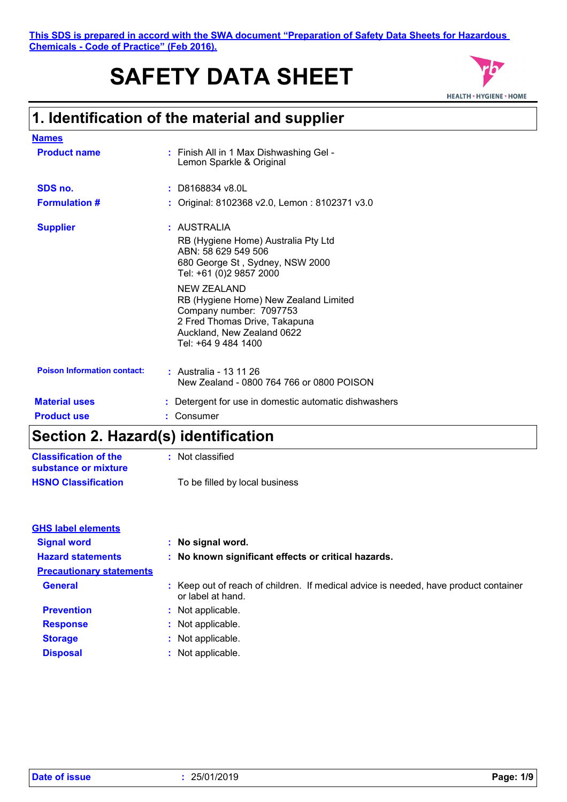This SDS is prepared in accord with the SWA document "Preparation of Safety<br>
<u>Chemicals - Code of Practice" (Feb 2016).</u><br> **SAFETY DATA SHEET**<br>
1. Identification of the material and supplier<br>
Names **This SDS is prepared in accord with the SWA document "Preparation of Safety Data Sheets for Hazardous Chemicals - Code of Practice" (Feb 2016).**

# **SAFETY DATA SHEET**



| <b>Names</b>                       |                                                                                                                                                                                                                            |
|------------------------------------|----------------------------------------------------------------------------------------------------------------------------------------------------------------------------------------------------------------------------|
| <b>Product name</b>                | : Finish All in 1 Max Dishwashing Gel -<br>Lemon Sparkle & Original                                                                                                                                                        |
| SDS no.                            | $:$ D8168834 v8.0L                                                                                                                                                                                                         |
| <b>Formulation #</b>               | Original: 8102368 v2.0, Lemon: 8102371 v3.0                                                                                                                                                                                |
| <b>Supplier</b>                    | : AUSTRALIA<br>RB (Hygiene Home) Australia Pty Ltd<br>ABN: 58 629 549 506<br>680 George St, Sydney, NSW 2000<br>Tel: +61 (0)2 9857 2000<br>NEW ZEALAND<br>RB (Hygiene Home) New Zealand Limited<br>Company number: 7097753 |
|                                    | 2 Fred Thomas Drive, Takapuna<br>Auckland, New Zealand 0622<br>Tel: +64 9 484 1400                                                                                                                                         |
| <b>Poison Information contact:</b> | : Australia - 13 11 26<br>New Zealand - 0800 764 766 or 0800 POISON                                                                                                                                                        |
| <b>Material uses</b>               | Detergent for use in domestic automatic dishwashers                                                                                                                                                                        |
| <b>Product use</b>                 | Consumer                                                                                                                                                                                                                   |

# **Section 2. Hazard(s) identification**

| <b>Classification of the</b> | : Not classified               |
|------------------------------|--------------------------------|
| substance or mixture         |                                |
| <b>HSNO Classification</b>   | To be filled by local business |

| <b>GHS label elements</b>       |                                                                                                           |
|---------------------------------|-----------------------------------------------------------------------------------------------------------|
| <b>Signal word</b>              | : No signal word.                                                                                         |
| <b>Hazard statements</b>        | : No known significant effects or critical hazards.                                                       |
| <b>Precautionary statements</b> |                                                                                                           |
| <b>General</b>                  | : Keep out of reach of children. If medical advice is needed, have product container<br>or label at hand. |
| <b>Prevention</b>               | : Not applicable.                                                                                         |
| <b>Response</b>                 | : Not applicable.                                                                                         |
| <b>Storage</b>                  | : Not applicable.                                                                                         |
| <b>Disposal</b>                 | : Not applicable.                                                                                         |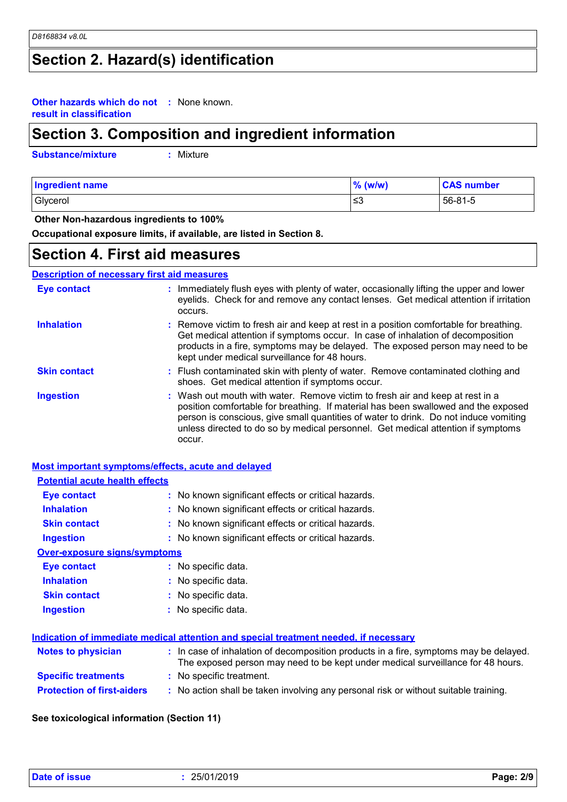## **Section 2. Hazard(s) identification**

#### **Other hazards which do not :** None known. **result in classification**

# **Section 3. Composition and ingredient information**

**Substance/mixture :**

: Mixture

| <b>Ingredient name</b> | $%$ (w/w) | <b>CAS number</b> |
|------------------------|-----------|-------------------|
| Glycerol               | ≲3        | 56-81-5           |

 **Other Non-hazardous ingredients to 100%**

**Occupational exposure limits, if available, are listed in Section 8.**

### **Section 4. First aid measures**

#### **Description of necessary first aid measures**

| <b>Eye contact</b>  | : Immediately flush eyes with plenty of water, occasionally lifting the upper and lower<br>eyelids. Check for and remove any contact lenses. Get medical attention if irritation<br>occurs.                                                                                                                                                               |
|---------------------|-----------------------------------------------------------------------------------------------------------------------------------------------------------------------------------------------------------------------------------------------------------------------------------------------------------------------------------------------------------|
| <b>Inhalation</b>   | : Remove victim to fresh air and keep at rest in a position comfortable for breathing.<br>Get medical attention if symptoms occur. In case of inhalation of decomposition<br>products in a fire, symptoms may be delayed. The exposed person may need to be<br>kept under medical surveillance for 48 hours.                                              |
| <b>Skin contact</b> | : Flush contaminated skin with plenty of water. Remove contaminated clothing and<br>shoes. Get medical attention if symptoms occur.                                                                                                                                                                                                                       |
| <b>Ingestion</b>    | : Wash out mouth with water. Remove victim to fresh air and keep at rest in a<br>position comfortable for breathing. If material has been swallowed and the exposed<br>person is conscious, give small quantities of water to drink. Do not induce vomiting<br>unless directed to do so by medical personnel. Get medical attention if symptoms<br>occur. |

#### **Most important symptoms/effects, acute and delayed**

| <b>Potential acute health effects</b> |                                                                                                                                                                          |
|---------------------------------------|--------------------------------------------------------------------------------------------------------------------------------------------------------------------------|
| <b>Eye contact</b>                    | : No known significant effects or critical hazards.                                                                                                                      |
| <b>Inhalation</b>                     | : No known significant effects or critical hazards.                                                                                                                      |
| <b>Skin contact</b>                   | : No known significant effects or critical hazards.                                                                                                                      |
| <b>Ingestion</b>                      | : No known significant effects or critical hazards.                                                                                                                      |
| <b>Over-exposure signs/symptoms</b>   |                                                                                                                                                                          |
| Eye contact                           | : No specific data.                                                                                                                                                      |
| <b>Inhalation</b>                     | : No specific data.                                                                                                                                                      |
| <b>Skin contact</b>                   | : No specific data.                                                                                                                                                      |
| <b>Ingestion</b>                      | : No specific data.                                                                                                                                                      |
|                                       | Indication of immediate medical attention and special treatment needed, if necessary                                                                                     |
| <b>Notes to physician</b>             | : In case of inhalation of decomposition products in a fire, symptoms may be delayed.<br>The exposed person may need to be kept under medical surveillance for 48 hours. |
| <b>Specific treatments</b>            | : No specific treatment.                                                                                                                                                 |
| <b>Protection of first-aiders</b>     | : No action shall be taken involving any personal risk or without suitable training.                                                                                     |

#### **See toxicological information (Section 11)**

| Date of issue | 25/01/2019 | Page: 2/9 |
|---------------|------------|-----------|
|---------------|------------|-----------|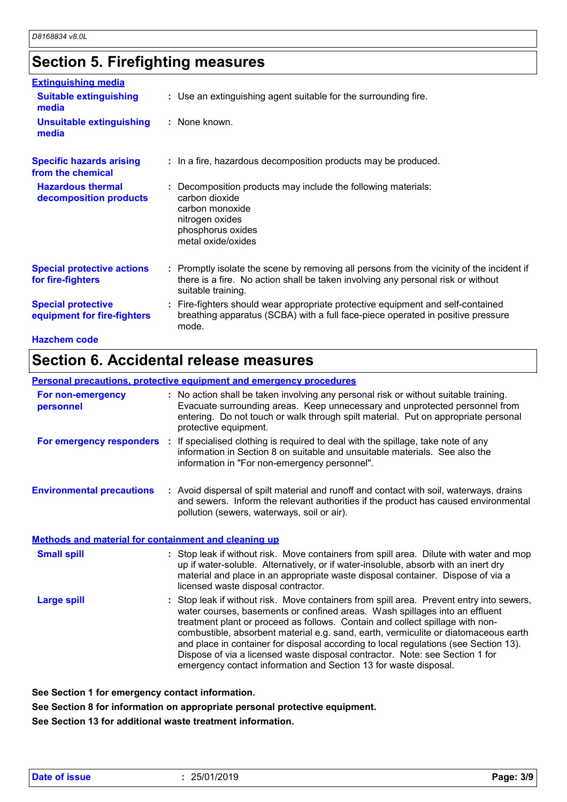# **Section 5. Firefighting measures**

| <b>Extinguishing media</b>                               |                                                                                                                                                                                                     |
|----------------------------------------------------------|-----------------------------------------------------------------------------------------------------------------------------------------------------------------------------------------------------|
| <b>Suitable extinguishing</b><br>media                   | : Use an extinguishing agent suitable for the surrounding fire.                                                                                                                                     |
| <b>Unsuitable extinguishing</b><br>media                 | : None known.                                                                                                                                                                                       |
| <b>Specific hazards arising</b><br>from the chemical     | : In a fire, hazardous decomposition products may be produced.                                                                                                                                      |
| <b>Hazardous thermal</b><br>decomposition products       | : Decomposition products may include the following materials:<br>carbon dioxide<br>carbon monoxide<br>nitrogen oxides<br>phosphorus oxides<br>metal oxide/oxides                                    |
| <b>Special protective actions</b><br>for fire-fighters   | : Promptly isolate the scene by removing all persons from the vicinity of the incident if<br>there is a fire. No action shall be taken involving any personal risk or without<br>suitable training. |
| <b>Special protective</b><br>equipment for fire-fighters | : Fire-fighters should wear appropriate protective equipment and self-contained<br>breathing apparatus (SCBA) with a full face-piece operated in positive pressure<br>mode.                         |
| <b>Hazchem code</b>                                      |                                                                                                                                                                                                     |

# **Section 6. Accidental release measures**

#### **Personal precautions, protective equipment and emergency procedures**

| For non-emergency<br>personnel                              | : No action shall be taken involving any personal risk or without suitable training.<br>Evacuate surrounding areas. Keep unnecessary and unprotected personnel from<br>entering. Do not touch or walk through spilt material. Put on appropriate personal<br>protective equipment.                                                                                                                                                                                                                                      |
|-------------------------------------------------------------|-------------------------------------------------------------------------------------------------------------------------------------------------------------------------------------------------------------------------------------------------------------------------------------------------------------------------------------------------------------------------------------------------------------------------------------------------------------------------------------------------------------------------|
|                                                             | <b>For emergency responders</b> : If specialised clothing is required to deal with the spillage, take note of any<br>information in Section 8 on suitable and unsuitable materials. See also the<br>information in "For non-emergency personnel".                                                                                                                                                                                                                                                                       |
| <b>Environmental precautions</b>                            | : Avoid dispersal of spilt material and runoff and contact with soil, waterways, drains<br>and sewers. Inform the relevant authorities if the product has caused environmental<br>pollution (sewers, waterways, soil or air).                                                                                                                                                                                                                                                                                           |
| <b>Methods and material for containment and cleaning up</b> |                                                                                                                                                                                                                                                                                                                                                                                                                                                                                                                         |
| <b>Small spill</b>                                          | : Stop leak if without risk. Move containers from spill area. Dilute with water and mop<br>up if water-soluble. Alternatively, or if water-insoluble, absorb with an inert dry<br>material and place in an appropriate waste disposal container. Dispose of via a<br>licensed waste disposal contractor.                                                                                                                                                                                                                |
| <b>Large spill</b>                                          | : Stop leak if without risk. Move containers from spill area. Prevent entry into sewers,<br>water courses, basements or confined areas. Wash spillages into an effluent<br>treatment plant or proceed as follows. Contain and collect spillage with non-<br>combustible, absorbent material e.g. sand, earth, vermiculite or diatomaceous earth<br>and place in container for disposal according to local regulations (see Section 13).<br>Dispose of via a licensed waste disposal contractor. Note: see Section 1 for |

emergency contact information and Section 13 for waste disposal.

**See Section 1 for emergency contact information.**

**See Section 8 for information on appropriate personal protective equipment.**

**See Section 13 for additional waste treatment information.**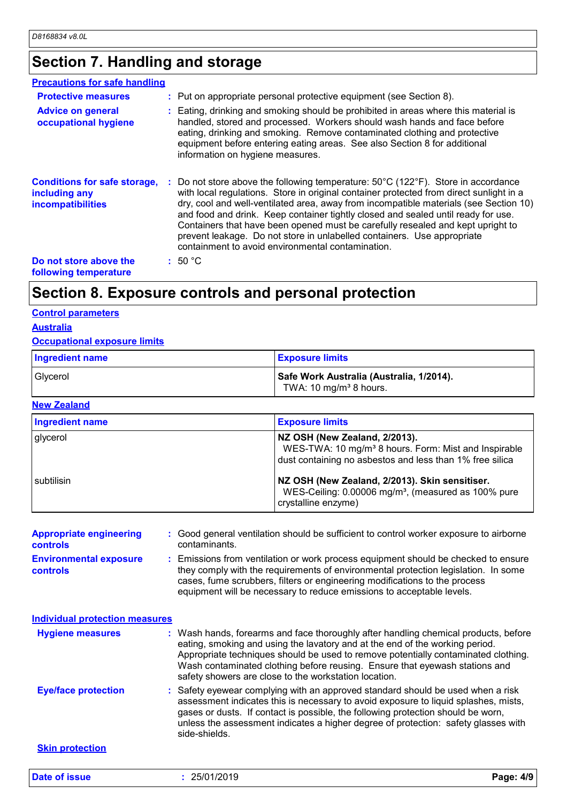# **Section 7. Handling and storage**

| <b>Precautions for safe handling</b>                                             |                                                                                                                                                                                                                                                                                                                                                                                                                                                                                                                                                                                                    |
|----------------------------------------------------------------------------------|----------------------------------------------------------------------------------------------------------------------------------------------------------------------------------------------------------------------------------------------------------------------------------------------------------------------------------------------------------------------------------------------------------------------------------------------------------------------------------------------------------------------------------------------------------------------------------------------------|
| <b>Protective measures</b>                                                       | : Put on appropriate personal protective equipment (see Section 8).                                                                                                                                                                                                                                                                                                                                                                                                                                                                                                                                |
| <b>Advice on general</b><br>occupational hygiene                                 | : Eating, drinking and smoking should be prohibited in areas where this material is<br>handled, stored and processed. Workers should wash hands and face before<br>eating, drinking and smoking. Remove contaminated clothing and protective<br>equipment before entering eating areas. See also Section 8 for additional<br>information on hygiene measures.                                                                                                                                                                                                                                      |
| <b>Conditions for safe storage,</b><br>including any<br><b>incompatibilities</b> | : Do not store above the following temperature: $50^{\circ}$ C (122 $^{\circ}$ F). Store in accordance<br>with local regulations. Store in original container protected from direct sunlight in a<br>dry, cool and well-ventilated area, away from incompatible materials (see Section 10)<br>and food and drink. Keep container tightly closed and sealed until ready for use.<br>Containers that have been opened must be carefully resealed and kept upright to<br>prevent leakage. Do not store in unlabelled containers. Use appropriate<br>containment to avoid environmental contamination. |
| Do not store above the<br>following temperature                                  | : 50 °C                                                                                                                                                                                                                                                                                                                                                                                                                                                                                                                                                                                            |

## **Section 8. Exposure controls and personal protection**

#### **Control parameters**

### **Australia**

#### **Occupational exposure limits**

| <b>Ingredient name</b> | <b>Exposure limits</b>                                                         |
|------------------------|--------------------------------------------------------------------------------|
| Glycerol               | Safe Work Australia (Australia, 1/2014).<br>TWA: 10 mg/m <sup>3</sup> 8 hours. |

#### **New Zealand**

| <b>Ingredient name</b> | <b>Exposure limits</b>                                                                                                                                        |
|------------------------|---------------------------------------------------------------------------------------------------------------------------------------------------------------|
| glycerol               | NZ OSH (New Zealand, 2/2013).<br>WES-TWA: 10 mg/m <sup>3</sup> 8 hours. Form: Mist and Inspirable<br>dust containing no asbestos and less than 1% free silica |
| I subtilisin           | NZ OSH (New Zealand, 2/2013). Skin sensitiser.<br>WES-Ceiling: 0.00006 mg/m <sup>3</sup> , (measured as 100% pure<br>crystalline enzyme)                      |

| <b>Appropriate engineering</b>                   | : Good general ventilation should be sufficient to control worker exposure to airborne                                                                                                                                                                                                                                          |
|--------------------------------------------------|---------------------------------------------------------------------------------------------------------------------------------------------------------------------------------------------------------------------------------------------------------------------------------------------------------------------------------|
| <b>controls</b>                                  | contaminants.                                                                                                                                                                                                                                                                                                                   |
| <b>Environmental exposure</b><br><b>controls</b> | : Emissions from ventilation or work process equipment should be checked to ensure<br>they comply with the requirements of environmental protection legislation. In some<br>cases, fume scrubbers, filters or engineering modifications to the process<br>equipment will be necessary to reduce emissions to acceptable levels. |

| <b>Individual protection measures</b> |                                                                                                                                                                                                                                                                                                                                                                                                   |
|---------------------------------------|---------------------------------------------------------------------------------------------------------------------------------------------------------------------------------------------------------------------------------------------------------------------------------------------------------------------------------------------------------------------------------------------------|
| <b>Hygiene measures</b>               | : Wash hands, forearms and face thoroughly after handling chemical products, before<br>eating, smoking and using the lavatory and at the end of the working period.<br>Appropriate techniques should be used to remove potentially contaminated clothing.<br>Wash contaminated clothing before reusing. Ensure that eyewash stations and<br>safety showers are close to the workstation location. |
| <b>Eye/face protection</b>            | : Safety eyewear complying with an approved standard should be used when a risk<br>assessment indicates this is necessary to avoid exposure to liquid splashes, mists,<br>gases or dusts. If contact is possible, the following protection should be worn,<br>unless the assessment indicates a higher degree of protection: safety glasses with<br>side-shields.                                 |
| <b>Skin protection</b>                |                                                                                                                                                                                                                                                                                                                                                                                                   |

**Date of issue :** 25/01/2019 **Page: 4/9**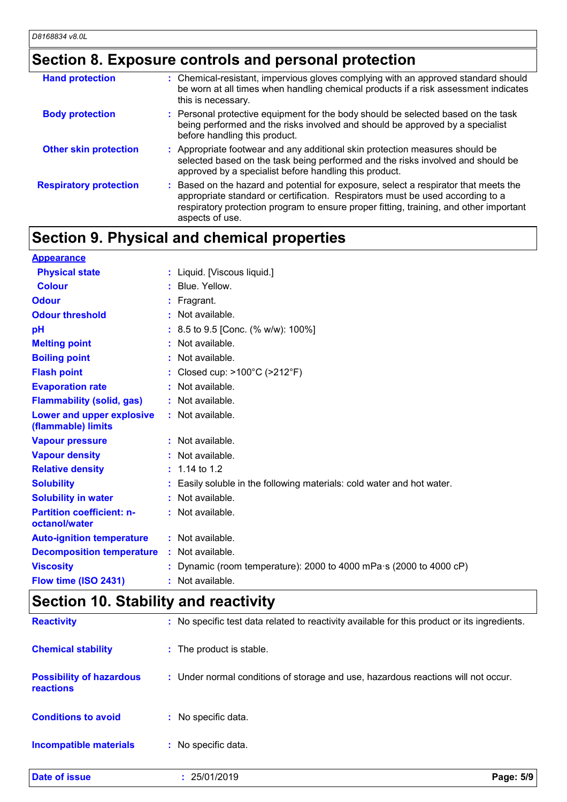# **Section 8. Exposure controls and personal protection**

| <b>Hand protection</b>        | : Chemical-resistant, impervious gloves complying with an approved standard should<br>be worn at all times when handling chemical products if a risk assessment indicates<br>this is necessary.                                                                                   |
|-------------------------------|-----------------------------------------------------------------------------------------------------------------------------------------------------------------------------------------------------------------------------------------------------------------------------------|
| <b>Body protection</b>        | : Personal protective equipment for the body should be selected based on the task<br>being performed and the risks involved and should be approved by a specialist<br>before handling this product.                                                                               |
| <b>Other skin protection</b>  | : Appropriate footwear and any additional skin protection measures should be<br>selected based on the task being performed and the risks involved and should be<br>approved by a specialist before handling this product.                                                         |
| <b>Respiratory protection</b> | Based on the hazard and potential for exposure, select a respirator that meets the<br>appropriate standard or certification. Respirators must be used according to a<br>respiratory protection program to ensure proper fitting, training, and other important<br>aspects of use. |

# **Section 9. Physical and chemical properties**

| <b>Appearance</b>                                 |                                                                            |
|---------------------------------------------------|----------------------------------------------------------------------------|
| <b>Physical state</b>                             | : Liquid. [Viscous liquid.]                                                |
| <b>Colour</b>                                     | : Blue, Yellow.                                                            |
| <b>Odour</b>                                      | $:$ Fragrant.                                                              |
| <b>Odour threshold</b>                            | $:$ Not available.                                                         |
| pH                                                | : 8.5 to 9.5 [Conc. (% w/w): 100%]                                         |
| <b>Melting point</b>                              | : Not available.                                                           |
| <b>Boiling point</b>                              | : Not available.                                                           |
| <b>Flash point</b>                                | : Closed cup: $>100^{\circ}$ C ( $>212^{\circ}$ F)                         |
| <b>Evaporation rate</b>                           | : Not available.                                                           |
| <b>Flammability (solid, gas)</b>                  | : Not available.                                                           |
| Lower and upper explosive<br>(flammable) limits   | : Not available.                                                           |
| <b>Vapour pressure</b>                            | : Not available.                                                           |
| <b>Vapour density</b>                             | : Not available.                                                           |
| <b>Relative density</b>                           | $: 1.14$ to 1.2                                                            |
| <b>Solubility</b>                                 | : Easily soluble in the following materials: cold water and hot water.     |
| <b>Solubility in water</b>                        | : Not available.                                                           |
| <b>Partition coefficient: n-</b><br>octanol/water | : Not available.                                                           |
| <b>Auto-ignition temperature</b>                  | : Not available.                                                           |
| <b>Decomposition temperature</b>                  | : Not available.                                                           |
| <b>Viscosity</b>                                  | : Dynamic (room temperature): 2000 to 4000 mPa $\cdot$ s (2000 to 4000 cP) |
| Flow time (ISO 2431)                              | : Not available.                                                           |

# **Section 10. Stability and reactivity**

| <b>Date of issue</b>                         | Page: 5/9<br>25/01/2019                                                                      |
|----------------------------------------------|----------------------------------------------------------------------------------------------|
| <b>Incompatible materials</b>                | : No specific data.                                                                          |
| <b>Conditions to avoid</b>                   | : No specific data.                                                                          |
| <b>Possibility of hazardous</b><br>reactions | : Under normal conditions of storage and use, hazardous reactions will not occur.            |
| <b>Chemical stability</b>                    | : The product is stable.                                                                     |
| <b>Reactivity</b>                            | : No specific test data related to reactivity available for this product or its ingredients. |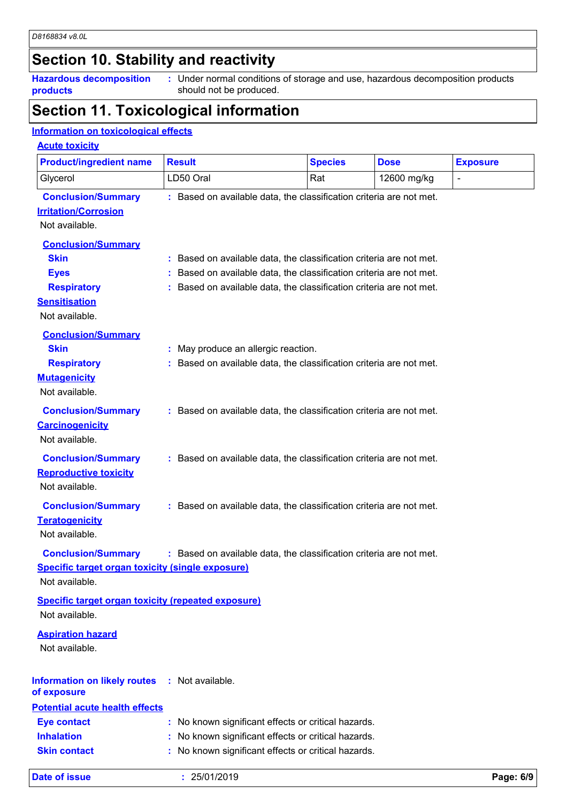# **Section 10. Stability and reactivity**

**Hazardous decomposition products**

Under normal conditions of storage and use, hazardous decomposition products **:** should not be produced.

## **Section 11. Toxicological information**

### **Information on toxicological effects**

#### **Acute toxicity**

| <b>Product/ingredient name</b>                                                                                          | <b>Result</b>                                                                                                                                                                                                   | <b>Species</b> | <b>Dose</b> | <b>Exposure</b> |
|-------------------------------------------------------------------------------------------------------------------------|-----------------------------------------------------------------------------------------------------------------------------------------------------------------------------------------------------------------|----------------|-------------|-----------------|
| Glycerol                                                                                                                | LD50 Oral                                                                                                                                                                                                       | Rat            | 12600 mg/kg | $\blacksquare$  |
| <b>Conclusion/Summary</b><br><b>Irritation/Corrosion</b><br>Not available.                                              | : Based on available data, the classification criteria are not met.                                                                                                                                             |                |             |                 |
| <b>Conclusion/Summary</b><br><b>Skin</b><br><b>Eyes</b><br><b>Respiratory</b><br><b>Sensitisation</b><br>Not available. | : Based on available data, the classification criteria are not met.<br>Based on available data, the classification criteria are not met.<br>: Based on available data, the classification criteria are not met. |                |             |                 |
| <b>Conclusion/Summary</b><br><b>Skin</b><br><b>Respiratory</b><br><b>Mutagenicity</b><br>Not available.                 | : May produce an allergic reaction.<br>: Based on available data, the classification criteria are not met.                                                                                                      |                |             |                 |
| <b>Conclusion/Summary</b><br><b>Carcinogenicity</b><br>Not available.                                                   | : Based on available data, the classification criteria are not met.                                                                                                                                             |                |             |                 |
| <b>Conclusion/Summary</b><br><b>Reproductive toxicity</b><br>Not available.                                             | : Based on available data, the classification criteria are not met.                                                                                                                                             |                |             |                 |
| <b>Conclusion/Summary</b><br><b>Teratogenicity</b><br>Not available.                                                    | : Based on available data, the classification criteria are not met.                                                                                                                                             |                |             |                 |
| <b>Conclusion/Summary</b><br>Specific target organ toxicity (single exposure)<br>Not available.                         | : Based on available data, the classification criteria are not met.                                                                                                                                             |                |             |                 |
| <b>Specific target organ toxicity (repeated exposure)</b><br>Not available.                                             |                                                                                                                                                                                                                 |                |             |                 |
| <b>Aspiration hazard</b><br>Not available.                                                                              |                                                                                                                                                                                                                 |                |             |                 |
| <b>Information on likely routes</b><br>of exposure<br><b>Potential acute health effects</b>                             | : Not available.                                                                                                                                                                                                |                |             |                 |
| <b>Eye contact</b>                                                                                                      | : No known significant effects or critical hazards.                                                                                                                                                             |                |             |                 |
| <b>Inhalation</b>                                                                                                       | No known significant effects or critical hazards.                                                                                                                                                               |                |             |                 |
| <b>Skin contact</b>                                                                                                     | No known significant effects or critical hazards.                                                                                                                                                               |                |             |                 |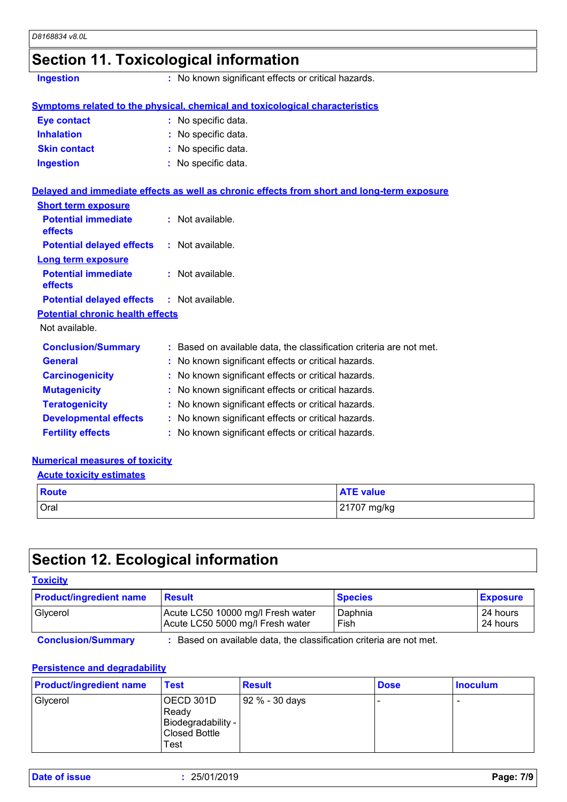## **Section 11. Toxicological information**

**Ingestion :** No known significant effects or critical hazards.

#### **Symptoms related to the physical, chemical and toxicological characteristics**

| <b>Eye contact</b>  | : No specific data. |
|---------------------|---------------------|
| <b>Inhalation</b>   | : No specific data. |
| <b>Skin contact</b> | : No specific data. |
| <b>Ingestion</b>    | : No specific data. |

#### **Delayed and immediate effects as well as chronic effects from short and long-term exposure**

| <b>Short term exposure</b>                        |                                                                     |
|---------------------------------------------------|---------------------------------------------------------------------|
| <b>Potential immediate</b><br><b>effects</b>      | $:$ Not available.                                                  |
| <b>Potential delayed effects : Not available.</b> |                                                                     |
| <b>Long term exposure</b>                         |                                                                     |
| <b>Potential immediate</b><br><b>effects</b>      | $:$ Not available.                                                  |
| <b>Potential delayed effects : Not available.</b> |                                                                     |
| <b>Potential chronic health effects</b>           |                                                                     |
| Not available.                                    |                                                                     |
| <b>Conclusion/Summary</b>                         | : Based on available data, the classification criteria are not met. |
| <b>General</b>                                    | : No known significant effects or critical hazards.                 |
| <b>Carcinogenicity</b>                            | : No known significant effects or critical hazards.                 |
| <b>Mutagenicity</b>                               | : No known significant effects or critical hazards.                 |
| <b>Teratogenicity</b>                             | : No known significant effects or critical hazards.                 |
| <b>Developmental effects</b>                      | : No known significant effects or critical hazards.                 |
| <b>Fertility effects</b>                          | : No known significant effects or critical hazards.                 |

#### **Numerical measures of toxicity**

#### **Acute toxicity estimates**

| <b>Route</b> | <b>ATE value</b> |
|--------------|------------------|
| Oral         | 21707 mg/kg      |

### **Section 12. Ecological information**

#### **Toxicity**

| <b>Product/ingredient name</b> | <b>Result</b>                     | <b>Species</b> | <b>Exposure</b> |
|--------------------------------|-----------------------------------|----------------|-----------------|
| Glycerol                       | Acute LC50 10000 mg/l Fresh water | Daphnia        | 24 hours        |
|                                | Acute LC50 5000 mg/l Fresh water  | Fish           | 24 hours        |

**Conclusion/Summary :** Based on available data, the classification criteria are not met.

#### **Persistence and degradability**

| <b>Product/ingredient name</b> | Test                                                                     | <b>Result</b>  | <b>Dose</b> | <b>Inoculum</b> |
|--------------------------------|--------------------------------------------------------------------------|----------------|-------------|-----------------|
| Glycerol                       | OECD 301D<br>Ready<br>Biodegradability -<br><b>Closed Bottle</b><br>Test | 92 % - 30 days |             |                 |

| Date of issue | 25/01/2019 | Page: 7/9 |
|---------------|------------|-----------|
|---------------|------------|-----------|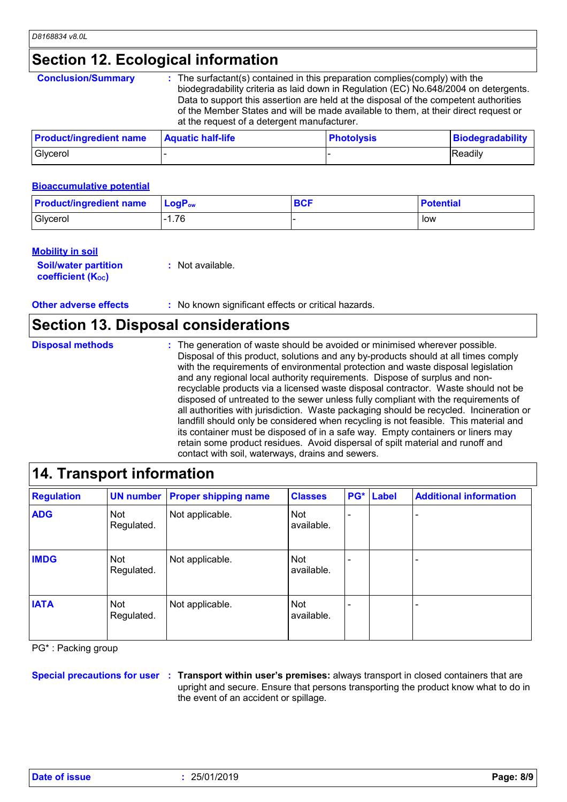# **Section 12. Ecological information**

| <b>Conclusion/Summary</b>      | : The surfactant(s) contained in this preparation complies (comply) with the<br>biodegradability criteria as laid down in Regulation (EC) No.648/2004 on detergents.<br>Data to support this assertion are held at the disposal of the competent authorities<br>of the Member States and will be made available to them, at their direct request or<br>at the request of a detergent manufacturer. |                   |                         |  |  |
|--------------------------------|----------------------------------------------------------------------------------------------------------------------------------------------------------------------------------------------------------------------------------------------------------------------------------------------------------------------------------------------------------------------------------------------------|-------------------|-------------------------|--|--|
| <b>Product/ingredient name</b> | <b>Aquatic half-life</b>                                                                                                                                                                                                                                                                                                                                                                           | <b>Photolysis</b> | <b>Biodegradability</b> |  |  |
| Glycerol                       |                                                                                                                                                                                                                                                                                                                                                                                                    |                   | Readily                 |  |  |

#### **Bioaccumulative potential**

| <b>Product/ingredient name</b> | $LogP_{ow}$ | <b>BCF</b> | <b>Potential</b> |
|--------------------------------|-------------|------------|------------------|
| Glycerol                       | i.76        |            | low              |

#### **Mobility in soil**

| <b>Soil/water partition</b> | $:$ Not available. |
|-----------------------------|--------------------|
| <b>coefficient (Koc)</b>    |                    |

**Other adverse effects** : No known significant effects or critical hazards.

### **Section 13. Disposal considerations**

| <b>Disposal methods</b> | : The generation of waste should be avoided or minimised wherever possible.<br>Disposal of this product, solutions and any by-products should at all times comply<br>with the requirements of environmental protection and waste disposal legislation<br>and any regional local authority requirements. Dispose of surplus and non-<br>recyclable products via a licensed waste disposal contractor. Waste should not be<br>disposed of untreated to the sewer unless fully compliant with the requirements of<br>all authorities with jurisdiction. Waste packaging should be recycled. Incineration or<br>landfill should only be considered when recycling is not feasible. This material and<br>its container must be disposed of in a safe way. Empty containers or liners may<br>retain some product residues. Avoid dispersal of spilt material and runoff and |
|-------------------------|-----------------------------------------------------------------------------------------------------------------------------------------------------------------------------------------------------------------------------------------------------------------------------------------------------------------------------------------------------------------------------------------------------------------------------------------------------------------------------------------------------------------------------------------------------------------------------------------------------------------------------------------------------------------------------------------------------------------------------------------------------------------------------------------------------------------------------------------------------------------------|
|                         | contact with soil, waterways, drains and sewers.                                                                                                                                                                                                                                                                                                                                                                                                                                                                                                                                                                                                                                                                                                                                                                                                                      |

### **14. Transport information**

| <b>Regulation</b> |                   | <b>UN number Proper shipping name</b> | <b>Classes</b>    | PG* | <b>Label</b> | <b>Additional information</b> |
|-------------------|-------------------|---------------------------------------|-------------------|-----|--------------|-------------------------------|
| <b>ADG</b>        | Not<br>Regulated. | Not applicable.                       | Not<br>available. |     |              |                               |
| <b>IMDG</b>       | Not<br>Regulated. | Not applicable.                       | Not<br>available. |     |              |                               |
| <b>IATA</b>       | Not<br>Regulated. | Not applicable.                       | Not<br>available. |     |              |                               |

PG\* : Packing group

**Special precautions for user Transport within user's premises:** always transport in closed containers that are **:** upright and secure. Ensure that persons transporting the product know what to do in the event of an accident or spillage.